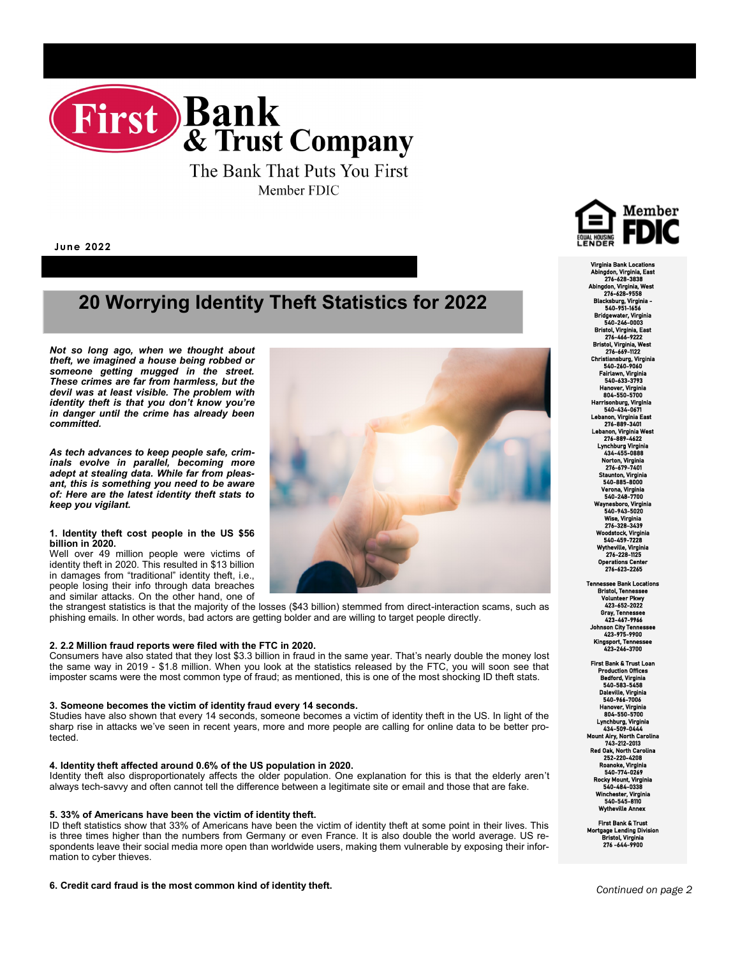

The Bank That Puts You First Member FDIC

**June 2022**

# **20 Worrying Identity Theft Statistics for 2022**

*Not so long ago, when we thought about theft, we imagined a house being robbed or someone getting mugged in the street. These crimes are far from harmless, but the devil was at least visible. The problem with identity theft is that you don't know you're in danger until the crime has already been committed.*

*As tech advances to keep people safe, criminals evolve in parallel, becoming more adept at stealing data. While far from pleasant, this is something you need to be aware of: Here are the latest identity theft stats to keep you vigilant.*

#### **1. Identity theft cost people in the US \$56 billion in 2020.**

Well over 49 million people were victims of identity theft in 2020. This resulted in \$13 billion in damages from "traditional" identity theft, i.e., people losing their info through data breaches and similar attacks. On the other hand, one of

the strangest statistics is that the majority of the losses (\$43 billion) stemmed from direct-interaction scams, such as phishing emails. In other words, bad actors are getting bolder and are willing to target people directly.

# **2. 2.2 Million fraud reports were filed with the FTC in 2020.**

Consumers have also stated that they lost \$3.3 billion in fraud in the same year. That's nearly double the money lost the same way in 2019 - \$1.8 million. When you look at the statistics released by the FTC, you will soon see that imposter scams were the most common type of fraud; as mentioned, this is one of the most shocking ID theft stats.

#### **3. Someone becomes the victim of identity fraud every 14 seconds.**

Studies have also shown that every 14 seconds, someone becomes a victim of identity theft in the US. In light of the sharp rise in attacks we've seen in recent years, more and more people are calling for online data to be better protected.

#### **4. Identity theft affected around 0.6% of the US population in 2020.**

Identity theft also disproportionately affects the older population. One explanation for this is that the elderly aren't always tech-savvy and often cannot tell the difference between a legitimate site or email and those that are fake.

#### **5. 33% of Americans have been the victim of identity theft.**

ID theft statistics show that 33% of Americans have been the victim of identity theft at some point in their lives. This is three times higher than the numbers from Germany or even France. It is also double the world average. US respondents leave their social media more open than worldwide users, making them vulnerable by exposing their information to cyber thieves.

#### **6. Credit card fraud is the most common kind of identity theft.**



Virginia Bank Locations Abingdon, Virginia, East 276-628-3838 Abingdon, Virginia, West 276-628-9558 rg, Virg 540-951 Bridgewater, Virginia 540-246-0003 ol, Virginia, E 276-466-9222 Bristol, Virginia, West 276-669-1122 Christiansburg, Virginia 540-260-9060 Fairlawn, Virginia 540-633-3793 Hanover, Virginia 804-550-5700 Harrisonburg, Virginia 540-434-0671 Lebanon, Virginia East 276-889-3401 Lebanon, Virginia West 276-889-4622 Lynchburg Virginia 434-455-0888 Norton, Virginia 276-679-7401 Staunton, Virginia 540-885-8000 Verona, Virginia 540-248-7700 Waynesboro, Virginia 540-943-5020 Wise, Virginia 276-328-3439 Woodstock, Virginia 540-459-72 Wytheville, Virginia 276-228 Operations Center 276-623-2265

Tennessee Bank Locations Bristol, Tennessee Volunteer Pkwy 423-652-2022 Gray, Tennessee 423-467-9966 Johnson City Tennessee 423-975-9900 Kingsport, Tennessee 423-246-3700

 First Bank & Trust Loan Production Offices Bedford, Virginia 540-583-5458 ille, Virgin 540-966-7006 anover, Virginia<br>804–550–5700 804-550-5700 Lynchburg, Virginia 434-509-0444 Mount Airy, North Carolina 743-212-2013 Red Oak, North Carolina 252-220-4208 Roanoke, Virginia 540-774-0269 Rocky Mount, Virginia 540-484-03 Winchester, Virginia 540-545-8110 Wytheville Annex

First Bank & Trust Mortgage Lending Division Bristol, Virginia 276 -644-9900

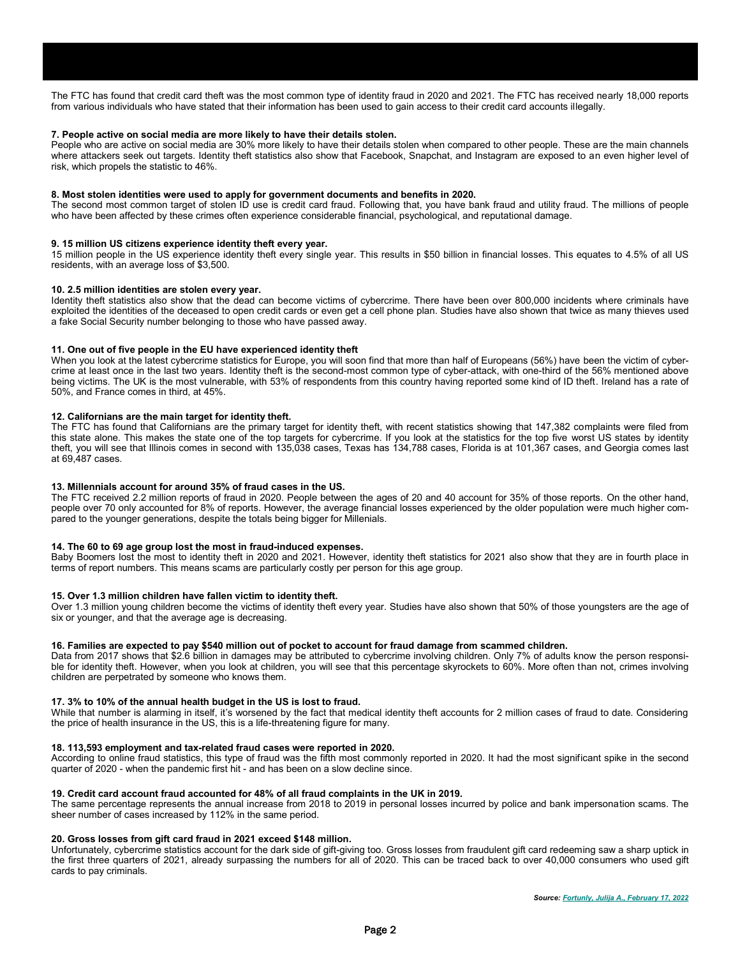# **7. People active on social media are more likely to have their details stolen.**

People who are active on social media are 30% more likely to have their details stolen when compared to other people. These are the main channels where attackers seek out targets. Identity theft statistics also show that Facebook, Snapchat, and Instagram are exposed to an even higher level of risk, which propels the statistic to 46%.

# **8. Most stolen identities were used to apply for government documents and benefits in 2020.**

The second most common target of stolen ID use is credit card fraud. Following that, you have bank fraud and utility fraud. The millions of people who have been affected by these crimes often experience considerable financial, psychological, and reputational damage.

# **9. 15 million US citizens experience identity theft every year.**

15 million people in the US experience identity theft every single year. This results in \$50 billion in financial losses. This equates to 4.5% of all US residents, with an average loss of \$3,500.

# **10. 2.5 million identities are stolen every year.**

Identity theft statistics also show that the dead can become victims of cybercrime. There have been over 800,000 incidents where criminals have exploited the identities of the deceased to open credit cards or even get a cell phone plan. Studies have also shown that twice as many thieves used a fake Social Security number belonging to those who have passed away.

# **11. One out of five people in the EU have experienced identity theft**

When you look at the latest cybercrime statistics for Europe, you will soon find that more than half of Europeans (56%) have been the victim of cybercrime at least once in the last two years. Identity theft is the second-most common type of cyber-attack, with one-third of the 56% mentioned above being victims. The UK is the most vulnerable, with 53% of respondents from this country having reported some kind of ID theft. Ireland has a rate of 50%, and France comes in third, at 45%.

# **12. Californians are the main target for identity theft.**

The FTC has found that Californians are the primary target for identity theft, with recent statistics showing that 147,382 complaints were filed from this state alone. This makes the state one of the top targets for cybercrime. If you look at the statistics for the top five worst US states by identity theft, you will see that Illinois comes in second with 135,038 cases, Texas has 134,788 cases, Florida is at 101,367 cases, and Georgia comes last at 69,487 cases.

# **13. Millennials account for around 35% of fraud cases in the US.**

The FTC received 2.2 million reports of fraud in 2020. People between the ages of 20 and 40 account for 35% of those reports. On the other hand, people over 70 only accounted for 8% of reports. However, the average financial losses experienced by the older population were much higher compared to the younger generations, despite the totals being bigger for Millenials.

# **14. The 60 to 69 age group lost the most in fraud-induced expenses.**

Baby Boomers lost the most to identity theft in 2020 and 2021. However, identity theft statistics for 2021 also show that they are in fourth place in terms of report numbers. This means scams are particularly costly per person for this age group.

# **15. Over 1.3 million children have fallen victim to identity theft.**

Over 1.3 million young children become the victims of identity theft every year. Studies have also shown that 50% of those youngsters are the age of six or younger, and that the average age is decreasing.

# **16. Families are expected to pay \$540 million out of pocket to account for fraud damage from scammed children.**

Data from 2017 shows that \$2.6 billion in damages may be attributed to cybercrime involving children. Only 7% of adults know the person responsible for identity theft. However, when you look at children, you will see that this percentage skyrockets to 60%. More often than not, crimes involving children are perpetrated by someone who knows them.

# **17. 3% to 10% of the annual health budget in the US is lost to fraud.**

While that number is alarming in itself, it's worsened by the fact that medical identity theft accounts for 2 million cases of fraud to date. Considering the price of health insurance in the US, this is a life-threatening figure for many.

# **18. 113,593 employment and tax-related fraud cases were reported in 2020.**

According to online fraud statistics, this type of fraud was the fifth most commonly reported in 2020. It had the most significant spike in the second quarter of 2020 - when the pandemic first hit - and has been on a slow decline since.

# **19. Credit card account fraud accounted for 48% of all fraud complaints in the UK in 2019.**

The same percentage represents the annual increase from 2018 to 2019 in personal losses incurred by police and bank impersonation scams. The sheer number of cases increased by 112% in the same period.

# **20. Gross losses from gift card fraud in 2021 exceed \$148 million.**

Unfortunately, cybercrime statistics account for the dark side of gift-giving too. Gross losses from fraudulent gift card redeeming saw a sharp uptick in the first three quarters of 2021, already surpassing the numbers for all of 2020. This can be traced back to over 40,000 consumers who used gift cards to pay criminals.